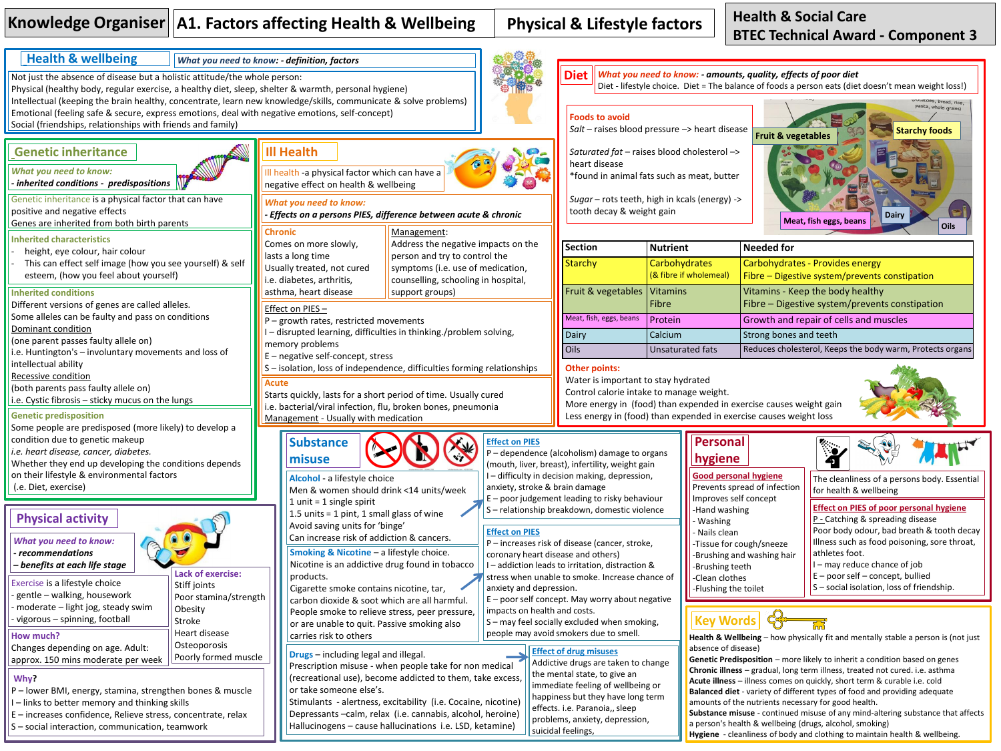## Knowledge Organiser | A1. Factors affecting Health & Wellbeing | Physical & Lifestyle factors

**Health & Social Care BTEC Technical Award - Component 3**

**Hygiene** - cleanliness of body and clothing to maintain health & wellbeing.



S – social interaction, communication, teamwork

Hallucinogens – cause hallucinations i.e. LSD, ketamine)

problems, anxiety, depression, suicidal feelings,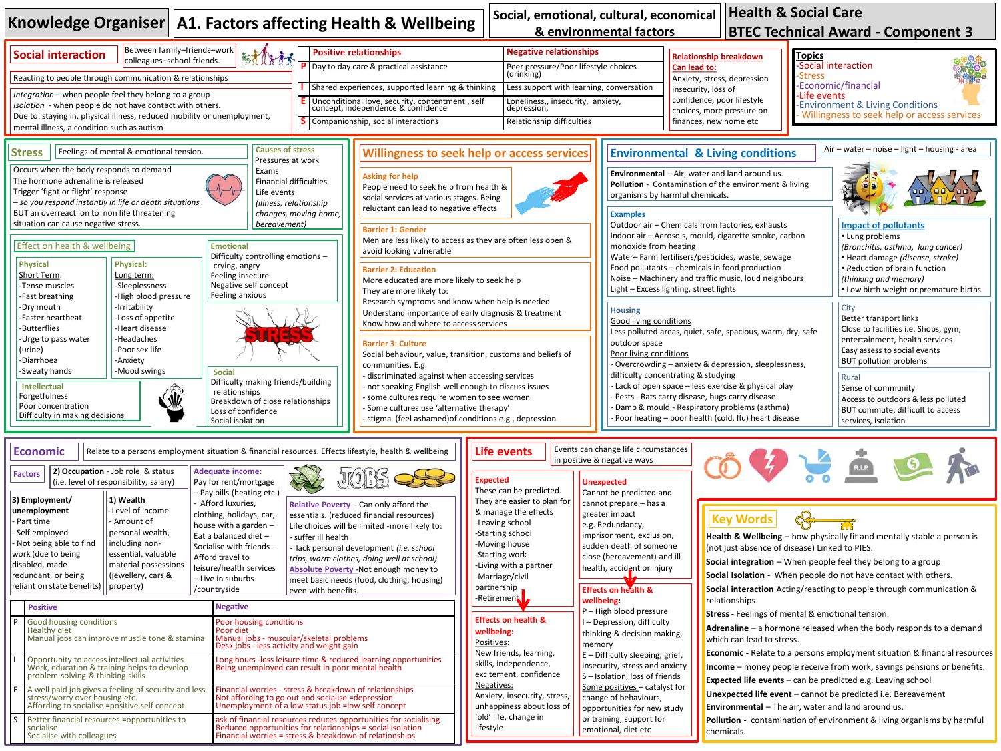| <b>Health &amp; Social Care</b><br>Social, emotional, cultural, economical<br>Knowledge Organiser   A1. Factors affecting Health & Wellbeing<br>& environmental factors<br><b>BTEC Technical Award - Component 3</b>                                                                                                                                                                                                                                                                                                                                                                                                                                                                                                                                                                                                                                                                                                                                                                                                                                                                    |                                                                                                                                                                                                                                                                                                                                                                                                                                                                                                                                                                                                                                                                                                                                                                                                                                                                                                                      |                                                                                                                                                                                                                                                                                                                                                                                                                                                                                                                                                                                                                                                                                                                                                                                                                                                                                                                                                                            |                                                                                                                                                                                                                                                                                                                                                                                                                                                                                                                                   |                                                                                                                                                                                                                                                                                                                                                                                                                                                                                                                                                                                                                                                                                                                   |                                                                                                                                                                                                                                                                                                                                                                                                                                                                                                                                                                                                                                                                                                                                                                                                                                                                                              |                                                                                                                                                                                                                                                                                                                                                                                                                                                                                                                                                                                                                                                                                                                                                                                                                                                                                                                              |  |
|-----------------------------------------------------------------------------------------------------------------------------------------------------------------------------------------------------------------------------------------------------------------------------------------------------------------------------------------------------------------------------------------------------------------------------------------------------------------------------------------------------------------------------------------------------------------------------------------------------------------------------------------------------------------------------------------------------------------------------------------------------------------------------------------------------------------------------------------------------------------------------------------------------------------------------------------------------------------------------------------------------------------------------------------------------------------------------------------|----------------------------------------------------------------------------------------------------------------------------------------------------------------------------------------------------------------------------------------------------------------------------------------------------------------------------------------------------------------------------------------------------------------------------------------------------------------------------------------------------------------------------------------------------------------------------------------------------------------------------------------------------------------------------------------------------------------------------------------------------------------------------------------------------------------------------------------------------------------------------------------------------------------------|----------------------------------------------------------------------------------------------------------------------------------------------------------------------------------------------------------------------------------------------------------------------------------------------------------------------------------------------------------------------------------------------------------------------------------------------------------------------------------------------------------------------------------------------------------------------------------------------------------------------------------------------------------------------------------------------------------------------------------------------------------------------------------------------------------------------------------------------------------------------------------------------------------------------------------------------------------------------------|-----------------------------------------------------------------------------------------------------------------------------------------------------------------------------------------------------------------------------------------------------------------------------------------------------------------------------------------------------------------------------------------------------------------------------------------------------------------------------------------------------------------------------------|-------------------------------------------------------------------------------------------------------------------------------------------------------------------------------------------------------------------------------------------------------------------------------------------------------------------------------------------------------------------------------------------------------------------------------------------------------------------------------------------------------------------------------------------------------------------------------------------------------------------------------------------------------------------------------------------------------------------|----------------------------------------------------------------------------------------------------------------------------------------------------------------------------------------------------------------------------------------------------------------------------------------------------------------------------------------------------------------------------------------------------------------------------------------------------------------------------------------------------------------------------------------------------------------------------------------------------------------------------------------------------------------------------------------------------------------------------------------------------------------------------------------------------------------------------------------------------------------------------------------------|------------------------------------------------------------------------------------------------------------------------------------------------------------------------------------------------------------------------------------------------------------------------------------------------------------------------------------------------------------------------------------------------------------------------------------------------------------------------------------------------------------------------------------------------------------------------------------------------------------------------------------------------------------------------------------------------------------------------------------------------------------------------------------------------------------------------------------------------------------------------------------------------------------------------------|--|
| Between family-friends-work<br><b>Social interaction</b><br>colleagues-school friends.                                                                                                                                                                                                                                                                                                                                                                                                                                                                                                                                                                                                                                                                                                                                                                                                                                                                                                                                                                                                  | 航机法院                                                                                                                                                                                                                                                                                                                                                                                                                                                                                                                                                                                                                                                                                                                                                                                                                                                                                                                 | <b>Positive relationships</b><br>P Day to day care & practical assistance                                                                                                                                                                                                                                                                                                                                                                                                                                                                                                                                                                                                                                                                                                                                                                                                                                                                                                  | <b>Negative relationships</b><br>Peer pressure/Poor lifestyle choices<br>(drinking)                                                                                                                                                                                                                                                                                                                                                                                                                                               |                                                                                                                                                                                                                                                                                                                                                                                                                                                                                                                                                                                                                                                                                                                   | <b>Relationship breakdown</b><br>Can lead to:                                                                                                                                                                                                                                                                                                                                                                                                                                                                                                                                                                                                                                                                                                                                                                                                                                                | <b>Topics</b><br><b>Social interaction</b><br>Stress                                                                                                                                                                                                                                                                                                                                                                                                                                                                                                                                                                                                                                                                                                                                                                                                                                                                         |  |
| Reacting to people through communication & relationships<br>Integration - when people feel they belong to a group<br>Isolation - when people do not have contact with others.<br>Due to: staying in, physical illness, reduced mobility or unemployment,<br>mental illness, a condition such as autism                                                                                                                                                                                                                                                                                                                                                                                                                                                                                                                                                                                                                                                                                                                                                                                  |                                                                                                                                                                                                                                                                                                                                                                                                                                                                                                                                                                                                                                                                                                                                                                                                                                                                                                                      | Shared experiences, supported learning & thinking<br>Less support with learning, conversation<br>Unconditional love, security, contentment, self<br>concept, independence & confidence<br>Loneliness,, insecurity, anxiety,<br>depression,<br>S Companionship, social interactions<br>Relationship difficulties                                                                                                                                                                                                                                                                                                                                                                                                                                                                                                                                                                                                                                                            |                                                                                                                                                                                                                                                                                                                                                                                                                                                                                                                                   |                                                                                                                                                                                                                                                                                                                                                                                                                                                                                                                                                                                                                                                                                                                   | Anxiety, stress, depression<br>insecurity, loss of<br>confidence, poor lifestyle<br>choices, more pressure on<br>finances, new home etc                                                                                                                                                                                                                                                                                                                                                                                                                                                                                                                                                                                                                                                                                                                                                      | -Economic/financial<br>-Life events<br>-Environment & Living Conditions<br>Willingness to seek help or access services                                                                                                                                                                                                                                                                                                                                                                                                                                                                                                                                                                                                                                                                                                                                                                                                       |  |
| Feelings of mental & emotional tension.<br><b>Stress</b><br>Occurs when the body responds to demand<br>The hormone adrenaline is released<br>Trigger 'fight or flight' response<br>- so you respond instantly in life or death situations<br>BUT an overreact ion to non life threatening<br>situation can cause negative stress.<br>Effect on health & wellbeing<br><b>Physical</b><br><b>Physical:</b><br>Short Term:<br>Long term:<br>-Sleeplessness<br>-Tense muscles<br>-High blood pressure<br>-Fast breathing<br>-Irritability<br>-Dry mouth<br>-Loss of appetite<br>Faster heartbeat<br>-Heart disease<br><b>Butterflies</b><br>-Headaches<br>-Urge to pass water<br>-Poor sex life<br>(urine)<br>-Anxiety<br>-Diarrhoea<br>-Mood swings<br>-Sweaty hands<br><b>Intellectual</b><br>Forgetfulness<br>Poor concentration<br>Difficulty in making decisions                                                                                                                                                                                                                       | <b>Causes of stress</b><br>Pressures at work<br>Exams<br><b>Financial difficulties</b><br>Life events<br>(illness, relationship<br>changes, moving home,<br>bereavement)<br><b>Emotional</b><br>Difficulty controlling emotions -<br>crying, angry<br>Feeling insecure<br>Negative self concept<br>Feeling anxious<br><b>Social</b><br>Difficulty making friends/building<br>relationships<br>Breakdown of close relationships<br>Loss of confidence<br>Social isolation                                                                                                                                                                                                                                                                                                                                                                                                                                             | <b>Willingness to seek help or access services</b><br><b>Asking for help</b><br>People need to seek help from health &<br>social services at various stages. Being<br>reluctant can lead to negative effects<br><b>Barrier 1: Gender</b><br>Men are less likely to access as they are often less open &<br>avoid looking vulnerable<br><b>Barrier 2: Education</b><br>More educated are more likely to seek help<br>They are more likely to:<br>Research symptoms and know when help is needed<br>Understand importance of early diagnosis & treatment<br>Know how and where to access services<br><b>Barrier 3: Culture</b><br>Social behaviour, value, transition, customs and beliefs of<br>communities. E.g.<br>discriminated against when accessing services<br>not speaking English well enough to discuss issues<br>- some cultures require women to see women<br>- Some cultures use 'alternative therapy'<br>stigma (feel ashamed) of conditions e.g., depression |                                                                                                                                                                                                                                                                                                                                                                                                                                                                                                                                   | <b>Examples</b><br>monoxide from heating<br><b>Housing</b><br>Good living conditions<br>outdoor space<br>Poor living conditions                                                                                                                                                                                                                                                                                                                                                                                                                                                                                                                                                                                   | <b>Environmental &amp; Living conditions</b><br>Environmental - Air, water and land around us.<br>Pollution - Contamination of the environment & living<br>organisms by harmful chemicals.<br>Outdoor air - Chemicals from factories, exhausts<br>Indoor air - Aerosols, mould, cigarette smoke, carbon<br>Water-Farm fertilisers/pesticides, waste, sewage<br>Food pollutants - chemicals in food production<br>Noise - Machinery and traffic music, loud neighbours<br>Light - Excess lighting, street lights<br>Less polluted areas, quiet, safe, spacious, warm, dry, safe<br>Overcrowding - anxiety & depression, sleeplessness,<br>difficulty concentrating & studying<br>Lack of open space - less exercise & physical play<br>Pests - Rats carry disease, bugs carry disease<br>Damp & mould - Respiratory problems (asthma)<br>Poor heating - poor health (cold, flu) heart disease | Air - water - noise - light - housing - area<br><b>Impact of pollutants</b><br>• Lung problems<br>(Bronchitis, asthma, lung cancer)<br>· Heart damage (disease, stroke)<br>• Reduction of brain function<br>(thinking and memory)<br>• Low birth weight or premature births<br>City<br>Better transport links<br>Close to facilities i.e. Shops, gym,<br>entertainment, health services<br>Easy assess to social events<br><b>BUT pollution problems</b><br>Rural<br>Sense of community<br>Access to outdoors & less polluted<br>BUT commute, difficult to access<br>services, isolation                                                                                                                                                                                                                                                                                                                                     |  |
| Relate to a persons employment situation & financial resources. Effects lifestyle, health & wellbeing<br>ECONOMIC<br>2) Occupation - Job role & status<br><b>Factors</b><br>$\vert$ (i.e. level of responsibility, salary)<br>3) Employment/<br>1) Wealth<br>unemployment<br>-Level of income<br>- Amount of<br>Part time<br>personal wealth,<br>Self employed<br>Not being able to find<br>including non-<br>work (due to being<br>essential, valuable<br>disabled, made<br>material possessions<br>redundant, or being<br>(jewellery, cars &<br>reliant on state benefits)<br>property)<br>/countryside<br><b>Positive</b><br>l p<br>Good housing conditions<br>Healthy diet<br>Manual jobs can improve muscle tone & stamina<br>Opportunity to access intellectual activities<br>Work, education & training helps to develop<br>problem-solving & thinking skills<br>E<br>A well paid job gives a feeling of security and less<br>stress/worry over housing etc.<br>Affording to socialise =positive self concept<br>ls<br>Better financial resources =opportunities to<br>socialise | <b>Adequate income:</b><br>Pay for rent/mortgage<br>- Pay bills (heating etc.)<br>Afford luxuries.<br>clothing, holidays, car,<br>house with a garden $-$<br>Eat a balanced diet -<br>- suffer ill health<br>Socialise with friends -<br>Afford travel to<br>leisure/health services<br>- Live in suburbs<br>even with benefits.<br><b>Negative</b><br>Poor housing conditions<br>Poor diet<br>Manual jobs - muscular/skeletal problems<br>Desk jobs - less activity and weight gain<br>Long hours -less leisure time & reduced learning opportunities<br>Being unemployed can result in poor mental health<br>Financial worries - stress & breakdown of relationships<br>Not affording to go out and socialise =depression<br>Unemployment of a low status job = low self concept<br>ask of financial resources reduces opportunities for socialising<br>Reduced opportunities for relationships = social isolation | <b>Relative Poverty</b> - Can only afford the<br>essentials. (reduced financial resources)<br>Life choices will be limited -more likely to:<br>- lack personal development (i.e. school<br>trips, warm clothes, doing well at school)<br>Absolute Poverty - Not enough money to<br>meet basic needs (food, clothing, housing)                                                                                                                                                                                                                                                                                                                                                                                                                                                                                                                                                                                                                                              | Life events<br><b>Expected</b><br>These can be predicted.<br>They are easier to plan for<br>& manage the effects<br>-Leaving school<br>-Starting school<br>-Moving house<br>-Starting work<br>-Living with a partner<br>-Marriage/civil<br>partnership<br>-Retirement<br><b>Effects on health &amp;</b><br>wellbeing:<br>Positives:<br>New friends, learning,<br>skills, independence,<br>excitement, confidence<br>Negatives:<br>Anxiety, insecurity, stress,<br>unhappiness about loss of<br>'old' life, change in<br>lifestyle | Events can change life circumstances<br>in positive & negative ways<br><b>Unexpected</b><br>Cannot be predicted and<br>cannot prepare. - has a<br>greater impact<br>e.g. Redundancy,<br>imprisonment, exclusion,<br>sudden death of someone<br>close (bereavement) and ill<br>health, accident or injury<br><b>Effects on health &amp;</b><br>wellbeing:<br>$P - High blood pressure$<br>I-Depression, difficulty<br>thinking & decision making,<br>memory<br>$E$ – Difficulty sleeping, grief,<br>insecurity, stress and anxiety<br>$S$ – Isolation, loss of friends<br>Some positives - catalyst for<br>change of behaviours,<br>opportunities for new study<br>or training, support for<br>emotional, diet etc | <b>Key Words</b><br>relationships<br>which can lead to stress.                                                                                                                                                                                                                                                                                                                                                                                                                                                                                                                                                                                                                                                                                                                                                                                                                               | Health & Wellbeing - how physically fit and mentally stable a person is<br>(not just absence of disease) Linked to PIES.<br><b>Social integration</b> $-$ When people feel they belong to a group<br>Social Isolation - When people do not have contact with others.<br>Social interaction Acting/reacting to people through communication &<br>Stress - Feelings of mental & emotional tension.<br>Adrenaline $-$ a hormone released when the body responds to a demand<br>Economic - Relate to a persons employment situation & financial resources<br><b>Income</b> – money people receive from work, savings pensions or benefits.<br><b>Expected life events</b> $-$ can be predicted e.g. Leaving school<br>Unexpected life event - cannot be predicted i.e. Bereavement<br><b>Environmental</b> - The air, water and land around us.<br><b>Pollution</b> - contamination of environment & living organisms by harmful |  |